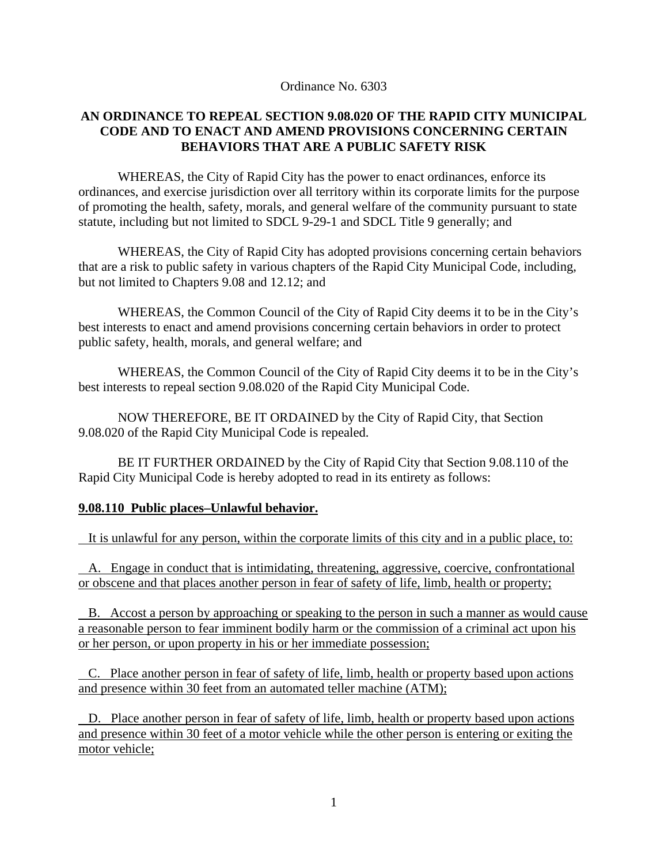Ordinance No. 6303

## **AN ORDINANCE TO REPEAL SECTION 9.08.020 OF THE RAPID CITY MUNICIPAL CODE AND TO ENACT AND AMEND PROVISIONS CONCERNING CERTAIN BEHAVIORS THAT ARE A PUBLIC SAFETY RISK**

 WHEREAS, the City of Rapid City has the power to enact ordinances, enforce its ordinances, and exercise jurisdiction over all territory within its corporate limits for the purpose of promoting the health, safety, morals, and general welfare of the community pursuant to state statute, including but not limited to SDCL 9-29-1 and SDCL Title 9 generally; and

WHEREAS, the City of Rapid City has adopted provisions concerning certain behaviors that are a risk to public safety in various chapters of the Rapid City Municipal Code, including, but not limited to Chapters 9.08 and 12.12; and

WHEREAS, the Common Council of the City of Rapid City deems it to be in the City's best interests to enact and amend provisions concerning certain behaviors in order to protect public safety, health, morals, and general welfare; and

WHEREAS, the Common Council of the City of Rapid City deems it to be in the City's best interests to repeal section 9.08.020 of the Rapid City Municipal Code.

 NOW THEREFORE, BE IT ORDAINED by the City of Rapid City, that Section 9.08.020 of the Rapid City Municipal Code is repealed.

 BE IT FURTHER ORDAINED by the City of Rapid City that Section 9.08.110 of the Rapid City Municipal Code is hereby adopted to read in its entirety as follows:

## **9.08.110 Public places–Unlawful behavior.**

It is unlawful for any person, within the corporate limits of this city and in a public place, to:

 A. Engage in conduct that is intimidating, threatening, aggressive, coercive, confrontational or obscene and that places another person in fear of safety of life, limb, health or property;

 B. Accost a person by approaching or speaking to the person in such a manner as would cause a reasonable person to fear imminent bodily harm or the commission of a criminal act upon his or her person, or upon property in his or her immediate possession;

 C. Place another person in fear of safety of life, limb, health or property based upon actions and presence within 30 feet from an automated teller machine (ATM);

 D. Place another person in fear of safety of life, limb, health or property based upon actions and presence within 30 feet of a motor vehicle while the other person is entering or exiting the motor vehicle;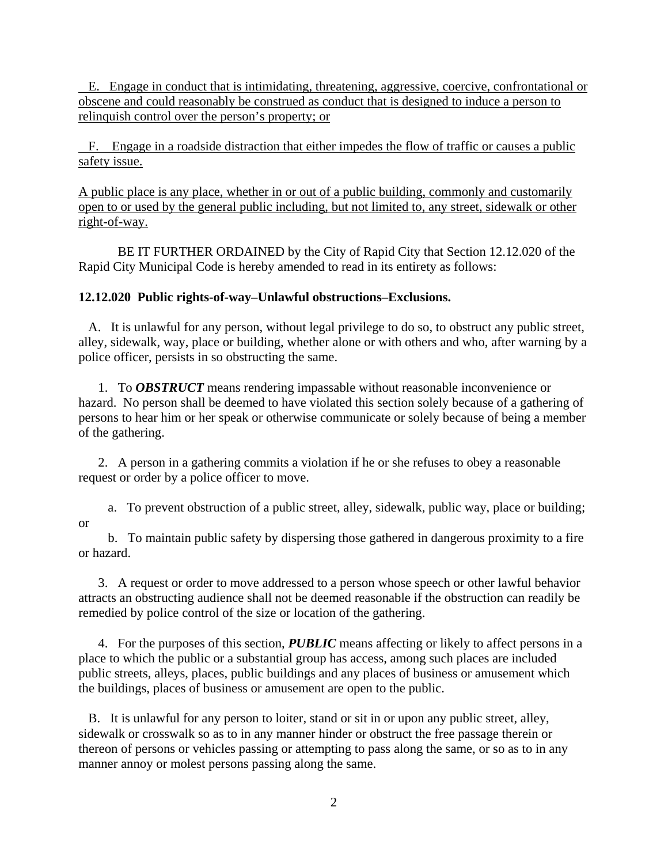E. Engage in conduct that is intimidating, threatening, aggressive, coercive, confrontational or obscene and could reasonably be construed as conduct that is designed to induce a person to relinquish control over the person's property; or

 F. Engage in a roadside distraction that either impedes the flow of traffic or causes a public safety issue.

A public place is any place, whether in or out of a public building, commonly and customarily open to or used by the general public including, but not limited to, any street, sidewalk or other right-of-way.

 BE IT FURTHER ORDAINED by the City of Rapid City that Section 12.12.020 of the Rapid City Municipal Code is hereby amended to read in its entirety as follows:

## **12.12.020 Public rights-of-way–Unlawful obstructions–Exclusions.**

 A. It is unlawful for any person, without legal privilege to do so, to obstruct any public street, alley, sidewalk, way, place or building, whether alone or with others and who, after warning by a police officer, persists in so obstructing the same.

 1. To *OBSTRUCT* means rendering impassable without reasonable inconvenience or hazard. No person shall be deemed to have violated this section solely because of a gathering of persons to hear him or her speak or otherwise communicate or solely because of being a member of the gathering.

 2. A person in a gathering commits a violation if he or she refuses to obey a reasonable request or order by a police officer to move.

 a. To prevent obstruction of a public street, alley, sidewalk, public way, place or building; or

 b. To maintain public safety by dispersing those gathered in dangerous proximity to a fire or hazard.

 3. A request or order to move addressed to a person whose speech or other lawful behavior attracts an obstructing audience shall not be deemed reasonable if the obstruction can readily be remedied by police control of the size or location of the gathering.

 4. For the purposes of this section, *PUBLIC* means affecting or likely to affect persons in a place to which the public or a substantial group has access, among such places are included public streets, alleys, places, public buildings and any places of business or amusement which the buildings, places of business or amusement are open to the public.

 B. It is unlawful for any person to loiter, stand or sit in or upon any public street, alley, sidewalk or crosswalk so as to in any manner hinder or obstruct the free passage therein or thereon of persons or vehicles passing or attempting to pass along the same, or so as to in any manner annoy or molest persons passing along the same.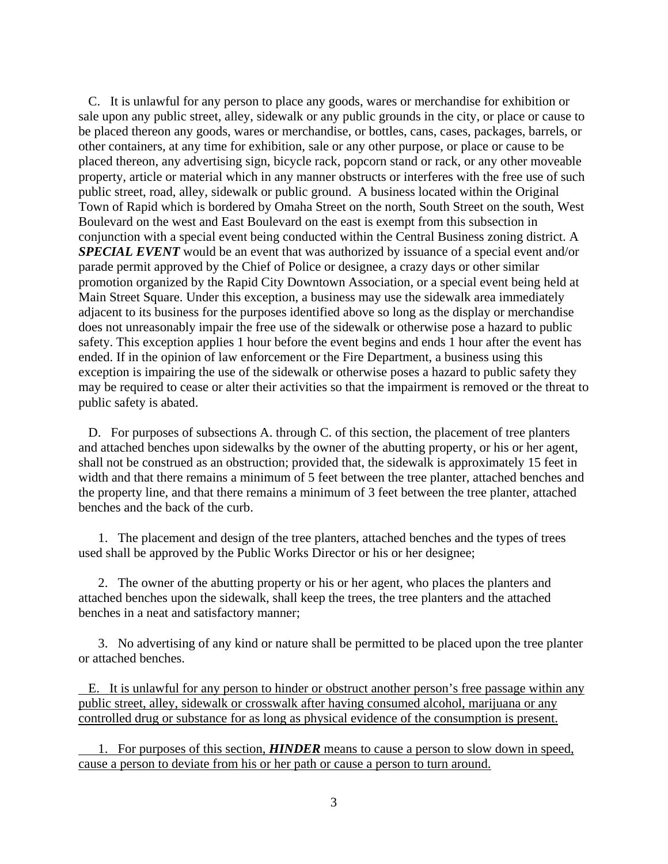C. It is unlawful for any person to place any goods, wares or merchandise for exhibition or sale upon any public street, alley, sidewalk or any public grounds in the city, or place or cause to be placed thereon any goods, wares or merchandise, or bottles, cans, cases, packages, barrels, or other containers, at any time for exhibition, sale or any other purpose, or place or cause to be placed thereon, any advertising sign, bicycle rack, popcorn stand or rack, or any other moveable property, article or material which in any manner obstructs or interferes with the free use of such public street, road, alley, sidewalk or public ground. A business located within the Original Town of Rapid which is bordered by Omaha Street on the north, South Street on the south, West Boulevard on the west and East Boulevard on the east is exempt from this subsection in conjunction with a special event being conducted within the Central Business zoning district. A *SPECIAL EVENT* would be an event that was authorized by issuance of a special event and/or parade permit approved by the Chief of Police or designee, a crazy days or other similar promotion organized by the Rapid City Downtown Association, or a special event being held at Main Street Square. Under this exception, a business may use the sidewalk area immediately adjacent to its business for the purposes identified above so long as the display or merchandise does not unreasonably impair the free use of the sidewalk or otherwise pose a hazard to public safety. This exception applies 1 hour before the event begins and ends 1 hour after the event has ended. If in the opinion of law enforcement or the Fire Department, a business using this exception is impairing the use of the sidewalk or otherwise poses a hazard to public safety they may be required to cease or alter their activities so that the impairment is removed or the threat to public safety is abated.

 D. For purposes of subsections A. through C. of this section, the placement of tree planters and attached benches upon sidewalks by the owner of the abutting property, or his or her agent, shall not be construed as an obstruction; provided that, the sidewalk is approximately 15 feet in width and that there remains a minimum of 5 feet between the tree planter, attached benches and the property line, and that there remains a minimum of 3 feet between the tree planter, attached benches and the back of the curb.

 1. The placement and design of the tree planters, attached benches and the types of trees used shall be approved by the Public Works Director or his or her designee;

 2. The owner of the abutting property or his or her agent, who places the planters and attached benches upon the sidewalk, shall keep the trees, the tree planters and the attached benches in a neat and satisfactory manner;

 3. No advertising of any kind or nature shall be permitted to be placed upon the tree planter or attached benches.

 E. It is unlawful for any person to hinder or obstruct another person's free passage within any public street, alley, sidewalk or crosswalk after having consumed alcohol, marijuana or any controlled drug or substance for as long as physical evidence of the consumption is present.

 1. For purposes of this section, *HINDER* means to cause a person to slow down in speed, cause a person to deviate from his or her path or cause a person to turn around.

3